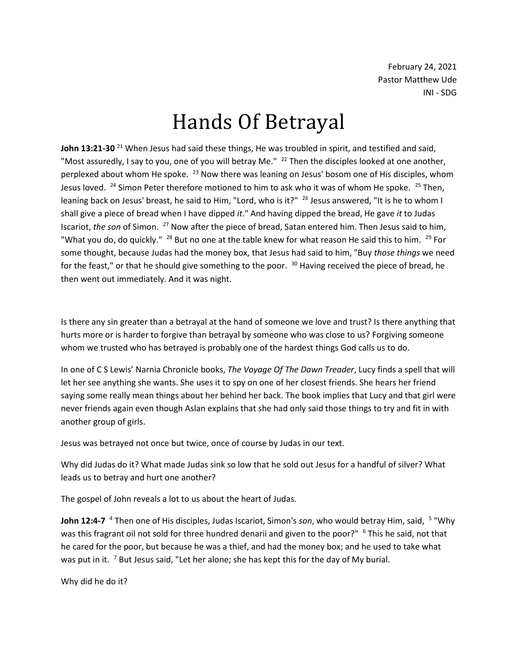February 24, 2021 Pastor Matthew Ude INI - SDG

## Hands Of Betrayal

John 13:21-30<sup>21</sup> When Jesus had said these things, He was troubled in spirit, and testified and said, "Most assuredly, I say to you, one of you will betray Me." <sup>22</sup> Then the disciples looked at one another, perplexed about whom He spoke. <sup>23</sup> Now there was leaning on Jesus' bosom one of His disciples, whom Jesus loved.  $^{24}$  Simon Peter therefore motioned to him to ask who it was of whom He spoke.  $^{25}$  Then, leaning back on Jesus' breast, he said to Him, "Lord, who is it?"  $^{26}$  Jesus answered, "It is he to whom I shall give a piece of bread when I have dipped *it*." And having dipped the bread, He gave *it* to Judas Iscariot, *the son* of Simon. <sup>27</sup> Now after the piece of bread, Satan entered him. Then Jesus said to him, "What you do, do quickly." <sup>28</sup> But no one at the table knew for what reason He said this to him. <sup>29</sup> For some thought, because Judas had the money box, that Jesus had said to him, "Buy *those things* we need for the feast," or that he should give something to the poor. <sup>30</sup> Having received the piece of bread, he then went out immediately. And it was night.

Is there any sin greater than a betrayal at the hand of someone we love and trust? Is there anything that hurts more or is harder to forgive than betrayal by someone who was close to us? Forgiving someone whom we trusted who has betrayed is probably one of the hardest things God calls us to do.

In one of C S Lewis' Narnia Chronicle books, *The Voyage Of The Dawn Treader*, Lucy finds a spell that will let her see anything she wants. She uses it to spy on one of her closest friends. She hears her friend saying some really mean things about her behind her back. The book implies that Lucy and that girl were never friends again even though Aslan explains that she had only said those things to try and fit in with another group of girls.

Jesus was betrayed not once but twice, once of course by Judas in our text.

Why did Judas do it? What made Judas sink so low that he sold out Jesus for a handful of silver? What leads us to betray and hurt one another?

The gospel of John reveals a lot to us about the heart of Judas.

**John 12:4-7** <sup>4</sup> Then one of His disciples, Judas Iscariot, Simon's son, who would betray Him, said, <sup>5</sup> "Why was this fragrant oil not sold for three hundred denarii and given to the poor?" <sup>6</sup> This he said, not that he cared for the poor, but because he was a thief, and had the money box; and he used to take what was put in it. <sup>7</sup> But Jesus said, "Let her alone; she has kept this for the day of My burial.

Why did he do it?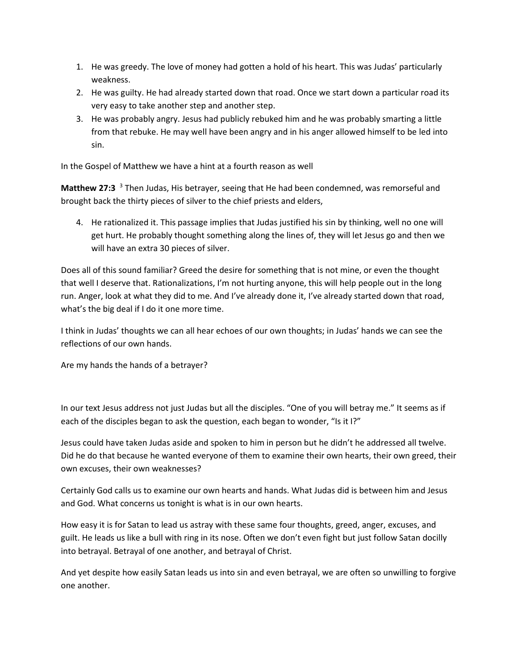- 1. He was greedy. The love of money had gotten a hold of his heart. This was Judas' particularly weakness.
- 2. He was guilty. He had already started down that road. Once we start down a particular road its very easy to take another step and another step.
- 3. He was probably angry. Jesus had publicly rebuked him and he was probably smarting a little from that rebuke. He may well have been angry and in his anger allowed himself to be led into sin.

In the Gospel of Matthew we have a hint at a fourth reason as well

**Matthew 27:3** <sup>3</sup> Then Judas, His betrayer, seeing that He had been condemned, was remorseful and brought back the thirty pieces of silver to the chief priests and elders,

4. He rationalized it. This passage implies that Judas justified his sin by thinking, well no one will get hurt. He probably thought something along the lines of, they will let Jesus go and then we will have an extra 30 pieces of silver.

Does all of this sound familiar? Greed the desire for something that is not mine, or even the thought that well I deserve that. Rationalizations, I'm not hurting anyone, this will help people out in the long run. Anger, look at what they did to me. And I've already done it, I've already started down that road, what's the big deal if I do it one more time.

I think in Judas' thoughts we can all hear echoes of our own thoughts; in Judas' hands we can see the reflections of our own hands.

Are my hands the hands of a betrayer?

In our text Jesus address not just Judas but all the disciples. "One of you will betray me." It seems as if each of the disciples began to ask the question, each began to wonder, "Is it I?"

Jesus could have taken Judas aside and spoken to him in person but he didn't he addressed all twelve. Did he do that because he wanted everyone of them to examine their own hearts, their own greed, their own excuses, their own weaknesses?

Certainly God calls us to examine our own hearts and hands. What Judas did is between him and Jesus and God. What concerns us tonight is what is in our own hearts.

How easy it is for Satan to lead us astray with these same four thoughts, greed, anger, excuses, and guilt. He leads us like a bull with ring in its nose. Often we don't even fight but just follow Satan docilly into betrayal. Betrayal of one another, and betrayal of Christ.

And yet despite how easily Satan leads us into sin and even betrayal, we are often so unwilling to forgive one another.